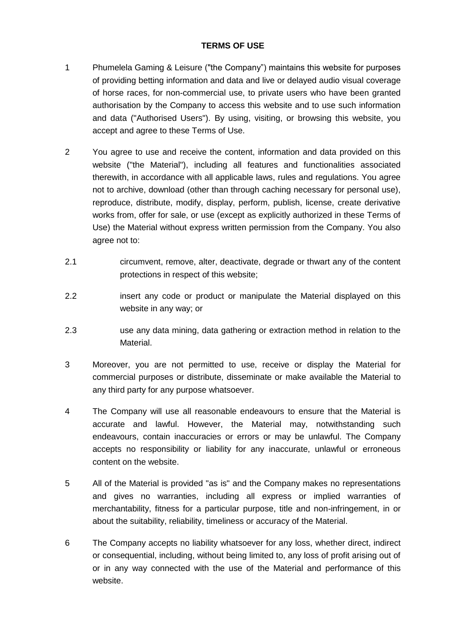## **TERMS OF USE**

- 1 Phumelela Gaming & Leisure ("the Company") maintains this website for purposes of providing betting information and data and live or delayed audio visual coverage of horse races, for non-commercial use, to private users who have been granted authorisation by the Company to access this website and to use such information and data ("Authorised Users"). By using, visiting, or browsing this website, you accept and agree to these Terms of Use.
- 2 You agree to use and receive the content, information and data provided on this website ("the Material"), including all features and functionalities associated therewith, in accordance with all applicable laws, rules and regulations. You agree not to archive, download (other than through caching necessary for personal use), reproduce, distribute, modify, display, perform, publish, license, create derivative works from, offer for sale, or use (except as explicitly authorized in these Terms of Use) the Material without express written permission from the Company. You also agree not to:
- 2.1 circumvent, remove, alter, deactivate, degrade or thwart any of the content protections in respect of this website;
- 2.2 insert any code or product or manipulate the Material displayed on this website in any way; or
- 2.3 use any data mining, data gathering or extraction method in relation to the Material.
- 3 Moreover, you are not permitted to use, receive or display the Material for commercial purposes or distribute, disseminate or make available the Material to any third party for any purpose whatsoever.
- 4 The Company will use all reasonable endeavours to ensure that the Material is accurate and lawful. However, the Material may, notwithstanding such endeavours, contain inaccuracies or errors or may be unlawful. The Company accepts no responsibility or liability for any inaccurate, unlawful or erroneous content on the website.
- 5 All of the Material is provided "as is" and the Company makes no representations and gives no warranties, including all express or implied warranties of merchantability, fitness for a particular purpose, title and non-infringement, in or about the suitability, reliability, timeliness or accuracy of the Material.
- 6 The Company accepts no liability whatsoever for any loss, whether direct, indirect or consequential, including, without being limited to, any loss of profit arising out of or in any way connected with the use of the Material and performance of this website.